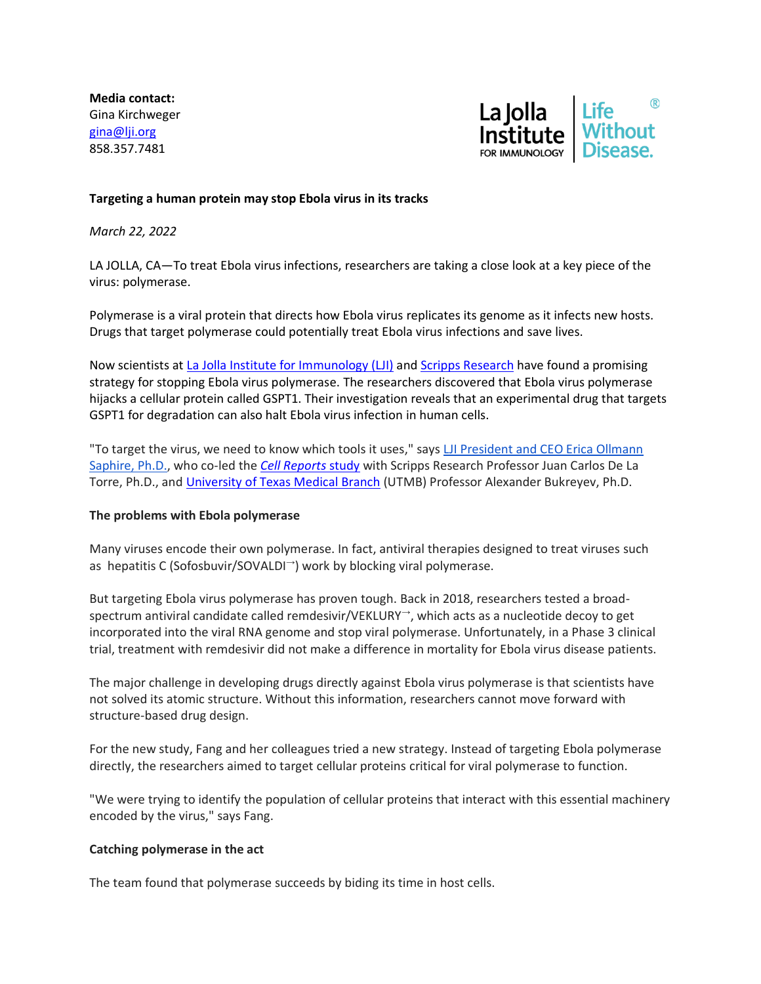**Media contact:** Gina Kirchweger [gina@lji.org](mailto:gina@lji.org) 858.357.7481



## **Targeting a human protein may stop Ebola virus in its tracks**

*March 22, 2022*

LA JOLLA, CA—To treat Ebola virus infections, researchers are taking a close look at a key piece of the virus: polymerase.

Polymerase is a viral protein that directs how Ebola virus replicates its genome as it infects new hosts. Drugs that target polymerase could potentially treat Ebola virus infections and save lives.

Now scientists at [La Jolla Institute for Immunology \(LJI\)](http://link.mediaoutreach.meltwater.com/ls/click?upn=APQokjqGpBCPxcNA75j1PtJRGGsyE1fQwArtu41-2Bf4I-3DDjZ8_j8Gtribg99YZZ0-2F13J9MsO63X5db1TseHbNUe44hwMeP4F9d46-2BYOer2wsYWMYdOEOz6xXTAPBUdMp71BttJZ572oSQNlJU6j19kvIGi8Qih-2BZcLiVwXSUO15KbyGNY6hwTxEZODgIt7QuHuaj2fRAVx0ye87PyXhArd4w-2FP7GrX7QgMJJJvgx5rrCIBHF5GEd4FeY2QZsecyV-2F6oSm1i7jt2h8lmwQnyzYWLjSt5aQKEv3-2FW3Bik7Ka6pfkp5t-2Fecp2bac-2FPHY39Jv02mJep3fKaOeDGELTZVHU0MjFGSYrZ33DnyXUGCCnQFMwBcxq-2B-2Bvp3XSkZJLb0MRbj2rT0zuEqluz-2Fd-2F4DULFPemrufUZF3B5sNPf2SkRDhY2UrCL) and [Scripps Research](http://link.mediaoutreach.meltwater.com/ls/click?upn=APQokjqGpBCPxcNA75j1PiBIdqDfjq-2Bbtjz-2BA02j0Hs57EkLtU9fgJ4fs9WMPIR-2FQOPt_j8Gtribg99YZZ0-2F13J9MsO63X5db1TseHbNUe44hwMeP4F9d46-2BYOer2wsYWMYdOEOz6xXTAPBUdMp71BttJZ572oSQNlJU6j19kvIGi8Qih-2BZcLiVwXSUO15KbyGNY6hwTxEZODgIt7QuHuaj2fRAVx0ye87PyXhArd4w-2FP7GrX7QgMJJJvgx5rrCIBHF5GEd4FeY2QZsecyV-2F6oSm1i-2FpNwmugjGVgAAU5HbUF6y-2F-2FCThbk6QBOUSmjXJaOSLUbn2ndkVQ7ZfkK7IHNHNu37RdDC33xSiCsS03KpxmWbmMgfK0088LUksjz-2BtzhaFXS2e36nM5GUSZCjbpWeW-2B5RRJick6I39ei6EJD9aWvRW6-2ByKTTkGWbIOgDOx8drMr) have found a promising strategy for stopping Ebola virus polymerase. The researchers discovered that Ebola virus polymerase hijacks a cellular protein called GSPT1. Their investigation reveals that an experimental drug that targets GSPT1 for degradation can also halt Ebola virus infection in human cells.

"To target the virus, we need to know which tools it uses," says [LJI President and CEO Erica Ollmann](http://link.mediaoutreach.meltwater.com/ls/click?upn=APQokjqGpBCPxcNA75j1Pg46U-2B4-2Bj-2BdbmJb-2F22ZlOqjxmjBH-2Fy8hYfJs-2FFbt0ko121z3_j8Gtribg99YZZ0-2F13J9MsO63X5db1TseHbNUe44hwMeP4F9d46-2BYOer2wsYWMYdOEOz6xXTAPBUdMp71BttJZ572oSQNlJU6j19kvIGi8Qih-2BZcLiVwXSUO15KbyGNY6hwTxEZODgIt7QuHuaj2fRAVx0ye87PyXhArd4w-2FP7GrX7QgMJJJvgx5rrCIBHF5GEd4FeY2QZsecyV-2F6oSm1ixGmKZ6tcKiiffCwpfvS22q-2FmecjKQGHWgYFHUzI1irx0SoniapVQgYIao-2Bd2IzoWouerlwKIrPqNNc1NiIe0-2FA6ZKJH-2BOTFSTpas6u55ivRobSeKoaMjbJIx9s6GfP6-2B9JtVby3yGRStnFXcyZ0BvcHlyCqZpCXlFB5Byvux2Rj)  [Saphire, Ph.D.,](http://link.mediaoutreach.meltwater.com/ls/click?upn=APQokjqGpBCPxcNA75j1Pg46U-2B4-2Bj-2BdbmJb-2F22ZlOqjxmjBH-2Fy8hYfJs-2FFbt0ko121z3_j8Gtribg99YZZ0-2F13J9MsO63X5db1TseHbNUe44hwMeP4F9d46-2BYOer2wsYWMYdOEOz6xXTAPBUdMp71BttJZ572oSQNlJU6j19kvIGi8Qih-2BZcLiVwXSUO15KbyGNY6hwTxEZODgIt7QuHuaj2fRAVx0ye87PyXhArd4w-2FP7GrX7QgMJJJvgx5rrCIBHF5GEd4FeY2QZsecyV-2F6oSm1ixGmKZ6tcKiiffCwpfvS22q-2FmecjKQGHWgYFHUzI1irx0SoniapVQgYIao-2Bd2IzoWouerlwKIrPqNNc1NiIe0-2FA6ZKJH-2BOTFSTpas6u55ivRobSeKoaMjbJIx9s6GfP6-2B9JtVby3yGRStnFXcyZ0BvcHlyCqZpCXlFB5Byvux2Rj) who co-led the *[Cell Reports](http://link.mediaoutreach.meltwater.com/ls/click?upn=APQokjqGpBCPxcNA75j1PnGrkq1IbM5GxnmapgjLH2gzq5TYHCgohNAgU3-2BrpAwyNOnyZvIBLdhYWKQwHy-2FW1w-3D-3DdRke_j8Gtribg99YZZ0-2F13J9MsO63X5db1TseHbNUe44hwMeP4F9d46-2BYOer2wsYWMYdOEOz6xXTAPBUdMp71BttJZ572oSQNlJU6j19kvIGi8Qih-2BZcLiVwXSUO15KbyGNY6hwTxEZODgIt7QuHuaj2fRAVx0ye87PyXhArd4w-2FP7GrX7QgMJJJvgx5rrCIBHF5GEd4FeY2QZsecyV-2F6oSm1ixPPFt2iN0ml2jBM3RqFvEQ-2Fep6PxUz-2FMkaCt5a9qIlu39bnWCnQ8c3mhy8yMWDtRak7rQmso7321cF7IghWy8BpSG-2FOverAypawylKHyra0PiLFrgEDR7743-2F5ZdBtQP3mGh4a7841l7mxj4BMZRz-2Bk5zIO6XkQXKRCXCRr1fN1)* study with Scripps Research Professor Juan Carlos De La Torre, Ph.D., and [University of Texas Medical Branch](http://link.mediaoutreach.meltwater.com/ls/click?upn=APQokjqGpBCPxcNA75j1Ps-2BjXcmL0PyvIoB1u1lxl6g-3DJEpr_j8Gtribg99YZZ0-2F13J9MsO63X5db1TseHbNUe44hwMeP4F9d46-2BYOer2wsYWMYdOEOz6xXTAPBUdMp71BttJZ572oSQNlJU6j19kvIGi8Qih-2BZcLiVwXSUO15KbyGNY6hwTxEZODgIt7QuHuaj2fRAVx0ye87PyXhArd4w-2FP7GrX7QgMJJJvgx5rrCIBHF5GEd4FeY2QZsecyV-2F6oSm1i8PDrpdABitWeUWHuoXp5DR2gi8Jghwzk882w0W5DfGCq2OsA7EhEDhf8wjTJfjHBL-2BqYVqwOlhJ-2FTjfLbBFLHhQLfvKNk2t3K9YQpPr0YsBEzqsC0Z8pEUpMp3BYY41wm-2F-2FS7odWeVI-2BwiVehOw0wAMF-2BDoT-2BtR7DxyoPTksscM) (UTMB) Professor Alexander Bukreyev, Ph.D.

#### **The problems with Ebola polymerase**

Many viruses encode their own polymerase. In fact, antiviral therapies designed to treat viruses such as hepatitis C (Sofosbuvir/SOVALDI<sup>→</sup>) work by blocking viral polymerase.

But targeting Ebola virus polymerase has proven tough. Back in 2018, researchers tested a broadspectrum antiviral candidate called remdesivir/VEKLURY<sup>→</sup>, which acts as a nucleotide decoy to get incorporated into the viral RNA genome and stop viral polymerase. Unfortunately, in a Phase 3 clinical trial, treatment with remdesivir did not make a difference in mortality for Ebola virus disease patients.

The major challenge in developing drugs directly against Ebola virus polymerase is that scientists have not solved its atomic structure. Without this information, researchers cannot move forward with structure-based drug design.

For the new study, Fang and her colleagues tried a new strategy. Instead of targeting Ebola polymerase directly, the researchers aimed to target cellular proteins critical for viral polymerase to function.

"We were trying to identify the population of cellular proteins that interact with this essential machinery encoded by the virus," says Fang.

#### **Catching polymerase in the act**

The team found that polymerase succeeds by biding its time in host cells.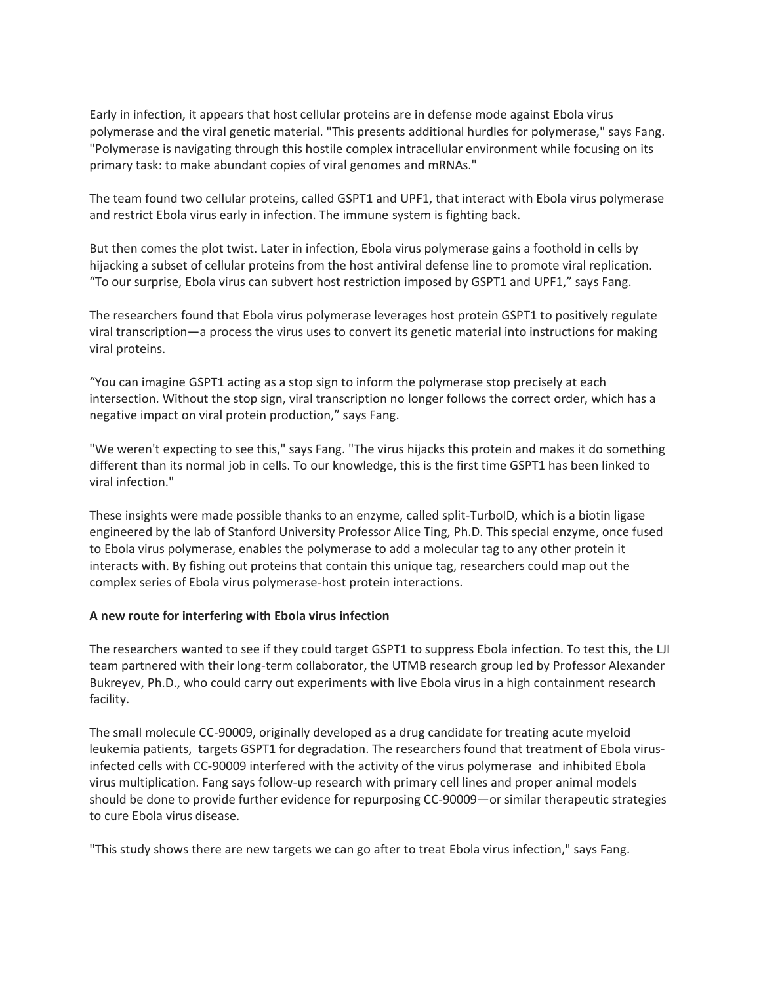Early in infection, it appears that host cellular proteins are in defense mode against Ebola virus polymerase and the viral genetic material. "This presents additional hurdles for polymerase," says Fang. "Polymerase is navigating through this hostile complex intracellular environment while focusing on its primary task: to make abundant copies of viral genomes and mRNAs."

The team found two cellular proteins, called GSPT1 and UPF1, that interact with Ebola virus polymerase and restrict Ebola virus early in infection. The immune system is fighting back.

But then comes the plot twist. Later in infection, Ebola virus polymerase gains a foothold in cells by hijacking a subset of cellular proteins from the host antiviral defense line to promote viral replication. "To our surprise, Ebola virus can subvert host restriction imposed by GSPT1 and UPF1," says Fang.

The researchers found that Ebola virus polymerase leverages host protein GSPT1 to positively regulate viral transcription—a process the virus uses to convert its genetic material into instructions for making viral proteins.

"You can imagine GSPT1 acting as a stop sign to inform the polymerase stop precisely at each intersection. Without the stop sign, viral transcription no longer follows the correct order, which has a negative impact on viral protein production," says Fang.

"We weren't expecting to see this," says Fang. "The virus hijacks this protein and makes it do something different than its normal job in cells. To our knowledge, this is the first time GSPT1 has been linked to viral infection."

These insights were made possible thanks to an enzyme, called split-TurboID, which is a biotin ligase engineered by the lab of Stanford University Professor Alice Ting, Ph.D. This special enzyme, once fused to Ebola virus polymerase, enables the polymerase to add a molecular tag to any other protein it interacts with. By fishing out proteins that contain this unique tag, researchers could map out the complex series of Ebola virus polymerase-host protein interactions.

# **A new route for interfering with Ebola virus infection**

The researchers wanted to see if they could target GSPT1 to suppress Ebola infection. To test this, the LJI team partnered with their long-term collaborator, the UTMB research group led by Professor Alexander Bukreyev, Ph.D., who could carry out experiments with live Ebola virus in a high containment research facility.

The small molecule CC-90009, originally developed as a drug candidate for treating acute myeloid leukemia patients, targets GSPT1 for degradation. The researchers found that treatment of Ebola virusinfected cells with CC-90009 interfered with the activity of the virus polymerase and inhibited Ebola virus multiplication. Fang says follow-up research with primary cell lines and proper animal models should be done to provide further evidence for repurposing CC-90009—or similar therapeutic strategies to cure Ebola virus disease.

"This study shows there are new targets we can go after to treat Ebola virus infection," says Fang.